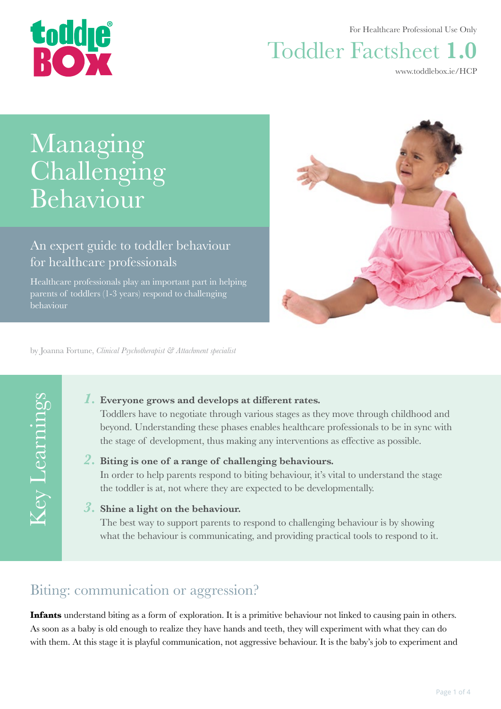

For Healthcare Professional Use Only

# Toddler Factsheet **1.0**

[www.toddlebox.ie/HCP](http://www.toddlebox.ie/hcp)

# Managing Challenging Behaviour

An expert guide to toddler behaviour for healthcare professionals

Healthcare professionals play an important part in helping parents of toddlers (1-3 years) respond to challenging behaviour



by Joanna Fortune, *Clinical Psychotherapist & Attachment specialist*

Key Learnings Key Learnings

### *1.* **Everyone grows and develops at different rates.**

Toddlers have to negotiate through various stages as they move through childhood and beyond. Understanding these phases enables healthcare professionals to be in sync with the stage of development, thus making any interventions as effective as possible.

### *2.* **Biting is one of a range of challenging behaviours.**

In order to help parents respond to biting behaviour, it's vital to understand the stage the toddler is at, not where they are expected to be developmentally.

### *3.* **Shine a light on the behaviour.**

The best way to support parents to respond to challenging behaviour is by showing what the behaviour is communicating, and providing practical tools to respond to it.

## Biting: communication or aggression?

**Infants** understand biting as a form of exploration. It is a primitive behaviour not linked to causing pain in others. As soon as a baby is old enough to realize they have hands and teeth, they will experiment with what they can do with them. At this stage it is playful communication, not aggressive behaviour. It is the baby's job to experiment and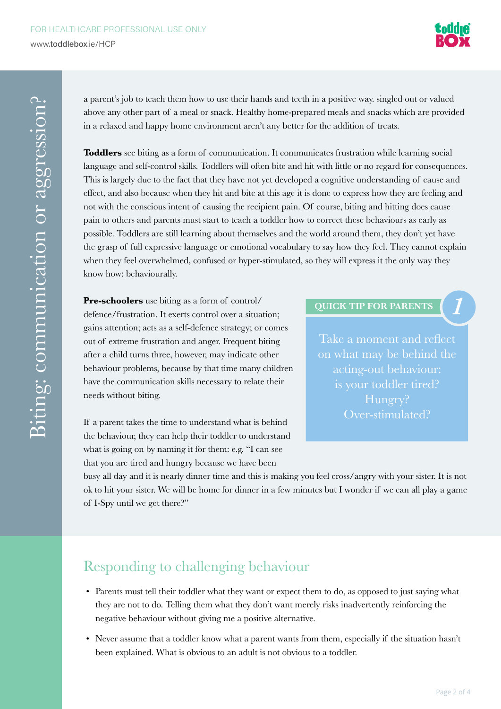

a parent's job to teach them how to use their hands and teeth in a positive way. singled out or valued above any other part of a meal or snack. Healthy home-prepared meals and snacks which are provided in a relaxed and happy home environment aren't any better for the addition of treats.

**Toddlers** see biting as a form of communication. It communicates frustration while learning social language and self-control skills. Toddlers will often bite and hit with little or no regard for consequences. This is largely due to the fact that they have not yet developed a cognitive understanding of cause and effect, and also because when they hit and bite at this age it is done to express how they are feeling and not with the conscious intent of causing the recipient pain. Of course, biting and hitting does cause pain to others and parents must start to teach a toddler how to correct these behaviours as early as possible. Toddlers are still learning about themselves and the world around them, they don't yet have the grasp of full expressive language or emotional vocabulary to say how they feel. They cannot explain when they feel overwhelmed, confused or hyper-stimulated, so they will express it the only way they know how: behaviourally.

**Pre-schoolers** use biting as a form of control/ defence/frustration. It exerts control over a situation; gains attention; acts as a self-defence strategy; or comes out of extreme frustration and anger. Frequent biting after a child turns three, however, may indicate other behaviour problems, because by that time many children have the communication skills necessary to relate their needs without biting.

If a parent takes the time to understand what is behind the behaviour, they can help their toddler to understand what is going on by naming it for them: e.g. "I can see that you are tired and hungry because we have been

**QUICK TIP FOR PARENTS** *1*

Take a moment and reflect on what may be behind the is your toddler tired? Hungry? Over-stimulated?

busy all day and it is nearly dinner time and this is making you feel cross/angry with your sister. It is not ok to hit your sister. We will be home for dinner in a few minutes but I wonder if we can all play a game of I-Spy until we get there?"

## Responding to challenging behaviour

- Parents must tell their toddler what they want or expect them to do, as opposed to just saying what they are not to do. Telling them what they don't want merely risks inadvertently reinforcing the negative behaviour without giving me a positive alternative.
- Never assume that a toddler know what a parent wants from them, especially if the situation hasn't been explained. What is obvious to an adult is not obvious to a toddler.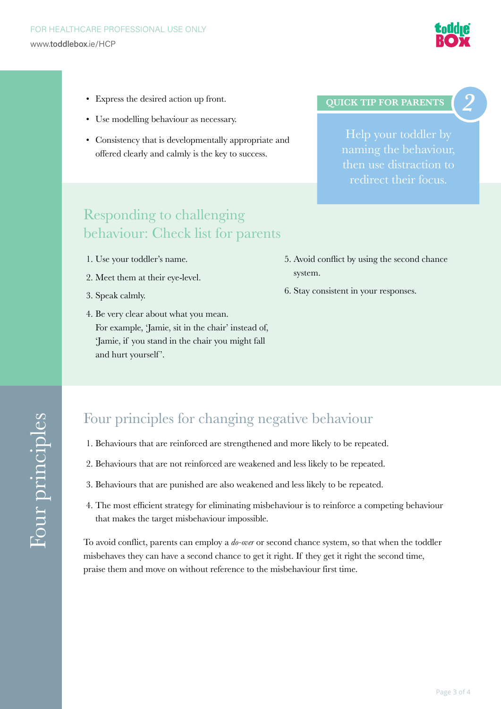

- Express the desired action up front.
- Use modelling behaviour as necessary.
- Consistency that is developmentally appropriate and offered clearly and calmly is the key to success.

#### **QUICK TIP FOR PARENTS** *2*

Help your toddler by redirect their focus.

### Responding to challenging behaviour: Check list for parents

- 1. Use your toddler's name.
- 2. Meet them at their eye-level.
- 3. Speak calmly.
- 4. Be very clear about what you mean. For example, 'Jamie, sit in the chair' instead of, 'Jamie, if you stand in the chair you might fall and hurt yourself'.
- 5. Avoid conflict by using the second chance system.
- 6. Stay consistent in your responses.

### Four principles for changing negative behaviour

- 1. Behaviours that are reinforced are strengthened and more likely to be repeated.
- 2. Behaviours that are not reinforced are weakened and less likely to be repeated.
- 3. Behaviours that are punished are also weakened and less likely to be repeated.
- 4. The most efficient strategy for eliminating misbehaviour is to reinforce a competing behaviour that makes the target misbehaviour impossible.

To avoid conflict, parents can employ a *do-over* or second chance system, so that when the toddler misbehaves they can have a second chance to get it right. If they get it right the second time, praise them and move on without reference to the misbehaviour first time.